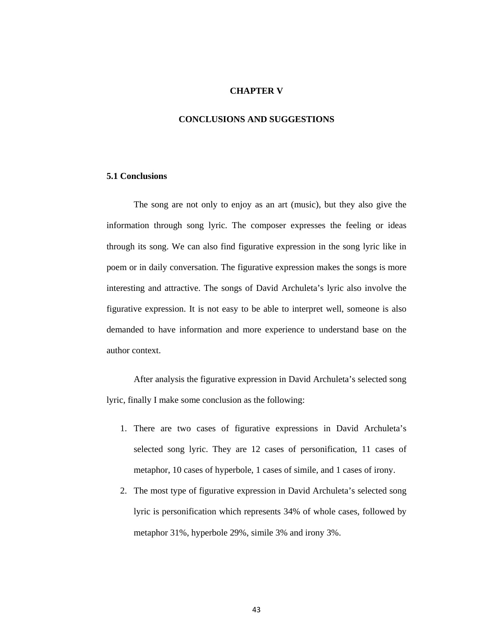## **CHAPTER V**

## **CONCLUSIONS AND SUGGESTIONS**

## **5.1 Conclusions**

The song are not only to enjoy as an art (music), but they also give the information through song lyric. The composer expresses the feeling or ideas through its song. We can also find figurative expression in the song lyric like in poem or in daily conversation. The figurative expression makes the songs is more interesting and attractive. The songs of David Archuleta's lyric also involve the figurative expression. It is not easy to be able to interpret well, someone is also demanded to have information and more experience to understand base on the author context.

After analysis the figurative expression in David Archuleta's selected song lyric, finally I make some conclusion as the following:

- 1. There are two cases of figurative expressions in David Archuleta's selected song lyric. They are 12 cases of personification, 11 cases of metaphor, 10 cases of hyperbole, 1 cases of simile, and 1 cases of irony.
- 2. The most type of figurative expression in David Archuleta's selected song lyric is personification which represents 34% of whole cases, followed by metaphor 31%, hyperbole 29%, simile 3% and irony 3%.